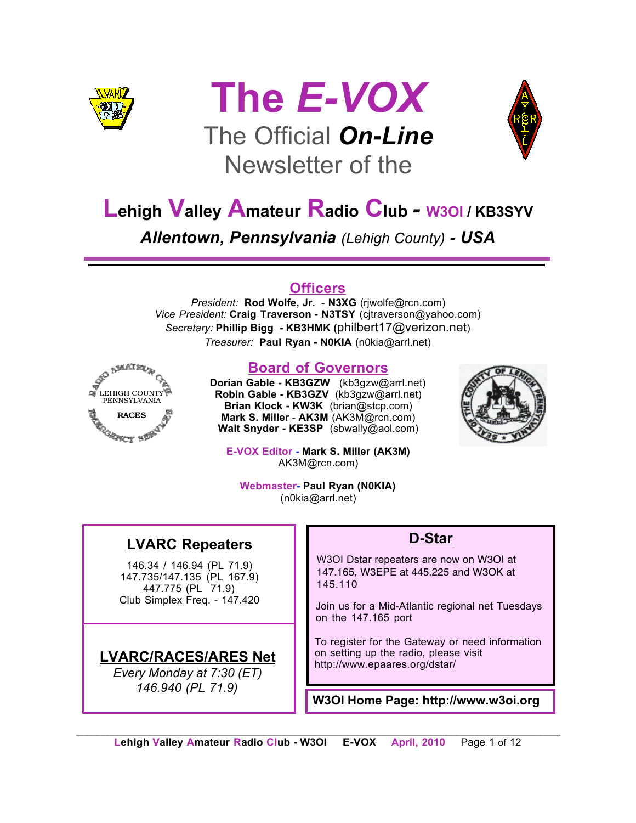





## **Lehigh Valley Amateur Radio Club** *-* **W3OI / KB3SYV**

*Allentown, Pennsylvania (Lehigh County) - USA*

#### **Officers**

*President:* **Rod Wolfe, Jr.** - **N3XG** (rjwolfe@rcn.com) *Vice President:* **Craig Traverson - N3TSY** (cjtraverson@yahoo.com) *Secretary:* **Phillip Bigg - KB3HMK (**philbert17@verizon.net) *Treasurer:* **Paul Ryan - N0KIA** (n0kia@arrl.net)



#### **Board of Governors**

**Dorian Gable - KB3GZW** (kb3gzw@arrl.net) **Robin Gable - KB3GZV** (kb3gzw@arrl.net) **Brian Klock - KW3K** (brian@stcp.com) **Mark S. Miller** - **AK3M** (AK3M@rcn.com) **Walt Snyder - KE3SP** (sbwally@aol.com)



**E-VOX Editor - Mark S. Miller (AK3M)** AK3M@rcn.com)

**Webmaster- Paul Ryan (N0KIA)** (n0kia@arrl.net)

#### **LVARC Repeaters**

146.34 / 146.94 (PL 71.9) 147.735/147.135 (PL 167.9) 447.775 (PL 71.9) Club Simplex Freq. - 147.420

#### **LVARC/RACES/ARES Net**

*Every Monday at 7:30 (ET) 146.940 (PL 71.9)*

#### **D-Star**

W3OI Dstar repeaters are now on W3OI at 147.165, W3EPE at 445.225 and W3OK at 145.110

Join us for a Mid-Atlantic regional net Tuesdays on the 147.165 port

To register for the Gateway or need information on setting up the radio, please visit http://www.epaares.org/dstar/

**W3OI Home Page: http://www.w3oi.org**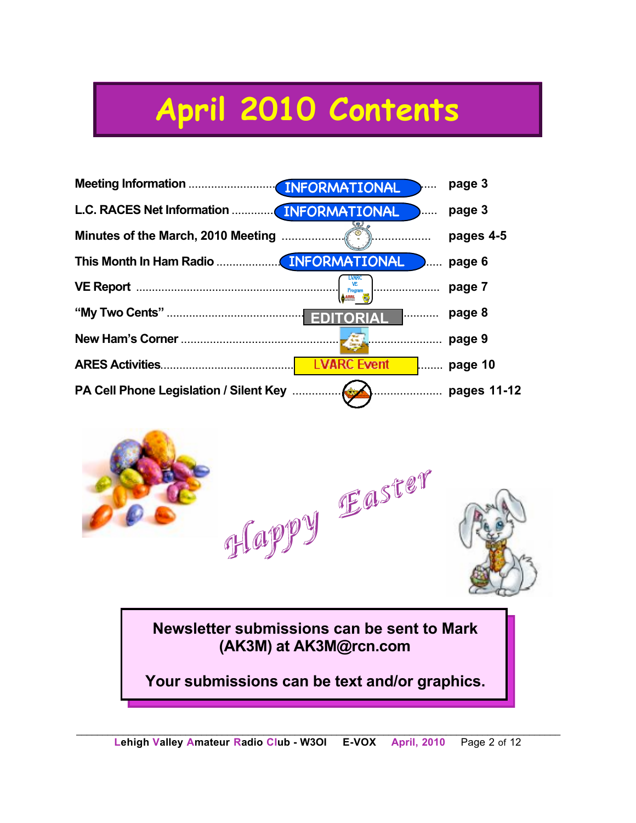## **April 2010 Contents**

|                                                 |              | page 3      |
|-------------------------------------------------|--------------|-------------|
| L.C. RACES Net Information <b>INFORMATIONAL</b> |              | page 3      |
|                                                 |              | pages 4-5   |
|                                                 |              | page 6      |
|                                                 | <b>AARRL</b> | page 7      |
|                                                 |              | page 8      |
|                                                 |              | page 9      |
|                                                 |              | page 10     |
| PA Cell Phone Legislation / Silent Key          |              | pages 11-12 |



**Newsletter submissions can be sent to Mark (AK3M) at AK3M@rcn.com**

**Your submissions can be text and/or graphics.**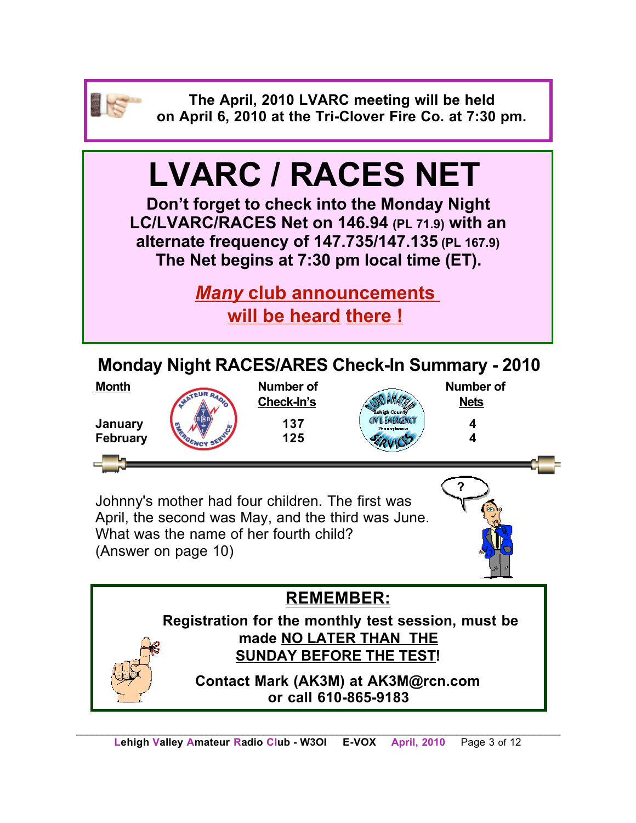

**The April, 2010 LVARC meeting will be held on April 6, 2010 at the Tri-Clover Fire Co. at 7:30 pm.**

# **LVARC / RACES NET**

**Don't forget to check into the Monday Night LC/LVARC/RACES Net on 146.94 (PL 71.9) with an alternate frequency of 147.735/147.135 (PL 167.9) The Net begins at 7:30 pm local time (ET).** 

> *Many* **club announcements will be heard there !**



**January 137 4 February 125 4**





Johnny's mother had four children. The first was April, the second was May, and the third was June. What was the name of her fourth child? (Answer on page 10)



## **REMEMBER: Registration for the monthly test session, must be made NO LATER THAN THE SUNDAY BEFORE THE TEST!**

**Contact Mark (AK3M) at AK3M@rcn.com or call 610-865-9183**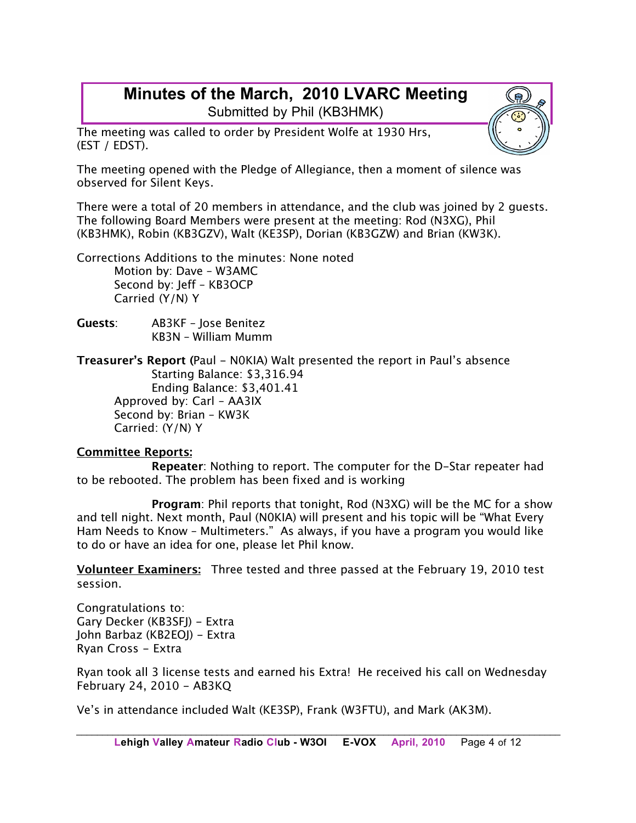#### **Minutes of the March, 2010 LVARC Meeting** Submitted by Phil (KB3HMK)

The meeting was called to order by President Wolfe at 1930 Hrs, (EST / EDST).

The meeting opened with the Pledge of Allegiance, then a moment of silence was observed for Silent Keys.

There were a total of 20 members in attendance, and the club was joined by 2 guests. The following Board Members were present at the meeting: Rod (N3XG), Phil (KB3HMK), Robin (KB3GZV), Walt (KE3SP), Dorian (KB3GZW) and Brian (KW3K).

Corrections Additions to the minutes: None noted Motion by: Dave – W3AMC Second by: Jeff – KB3OCP Carried (Y/N) Y

**Guests**: AB3KF – Jose Benitez KB3N – William Mumm

**Treasurer's Report (**Paul - N0KIA) Walt presented the report in Paul's absence Starting Balance: \$3,316.94 Ending Balance: \$3,401.41 Approved by: Carl – AA3IX Second by: Brian – KW3K Carried: (Y/N) Y

#### **Committee Reports:**

**Repeater**: Nothing to report. The computer for the D-Star repeater had to be rebooted. The problem has been fixed and is working

**Program**: Phil reports that tonight, Rod (N3XG) will be the MC for a show and tell night. Next month, Paul (N0KIA) will present and his topic will be "What Every Ham Needs to Know – Multimeters." As always, if you have a program you would like to do or have an idea for one, please let Phil know.

**Volunteer Examiners:** Three tested and three passed at the February 19, 2010 test session.

Congratulations to: Gary Decker (KB3SFJ) - Extra John Barbaz (KB2EOJ) - Extra Ryan Cross - Extra

Ryan took all 3 license tests and earned his Extra! He received his call on Wednesday February 24, 2010 - AB3KQ

Ve's in attendance included Walt (KE3SP), Frank (W3FTU), and Mark (AK3M).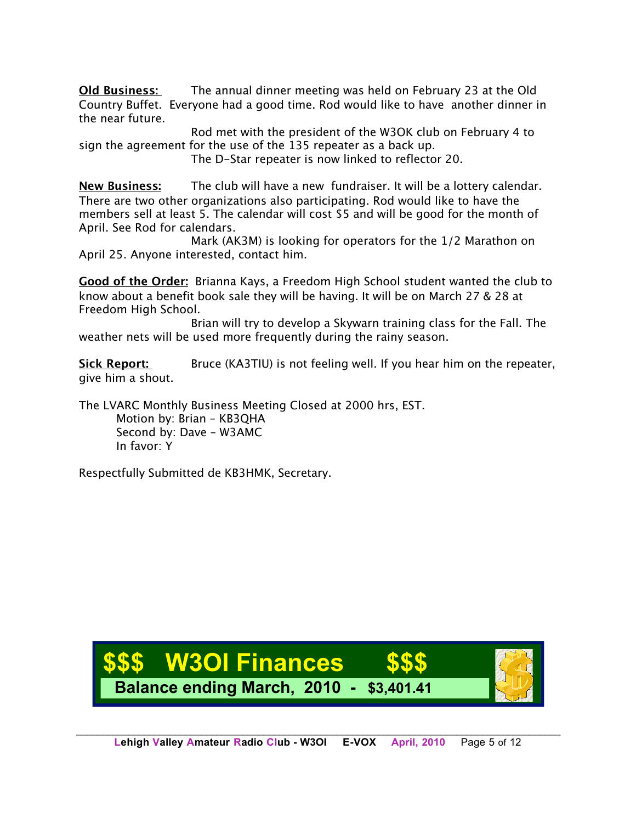**Old Business:** The annual dinner meeting was held on February 23 at the Old Country Buffet. Everyone had a good time. Rod would like to have another dinner in the near future.

Rod met with the president of the W3OK club on February 4 to sign the agreement for the use of the 135 repeater as a back up. The D-Star repeater is now linked to reflector 20.

**New Business:** The club will have a new fundraiser. It will be a lottery calendar. There are two other organizations also participating. Rod would like to have the members sell at least 5. The calendar will cost \$5 and will be good for the month of April. See Rod for calendars.

Mark (AK3M) is looking for operators for the 1/2 Marathon on April 25. Anyone interested, contact him.

**Good of the Order:** Brianna Kays, a Freedom High School student wanted the club to know about a benefit book sale they will be having. It will be on March 27 & 28 at Freedom High School.

Brian will try to develop a Skywarn training class for the Fall. The weather nets will be used more frequently during the rainy season.

**Sick Report:** Bruce (KA3TIU) is not feeling well. If you hear him on the repeater, give him a shout.

The LVARC Monthly Business Meeting Closed at 2000 hrs, EST.

Motion by: Brian – KB3QHA Second by: Dave – W3AMC In favor: Y

Respectfully Submitted de KB3HMK, Secretary.

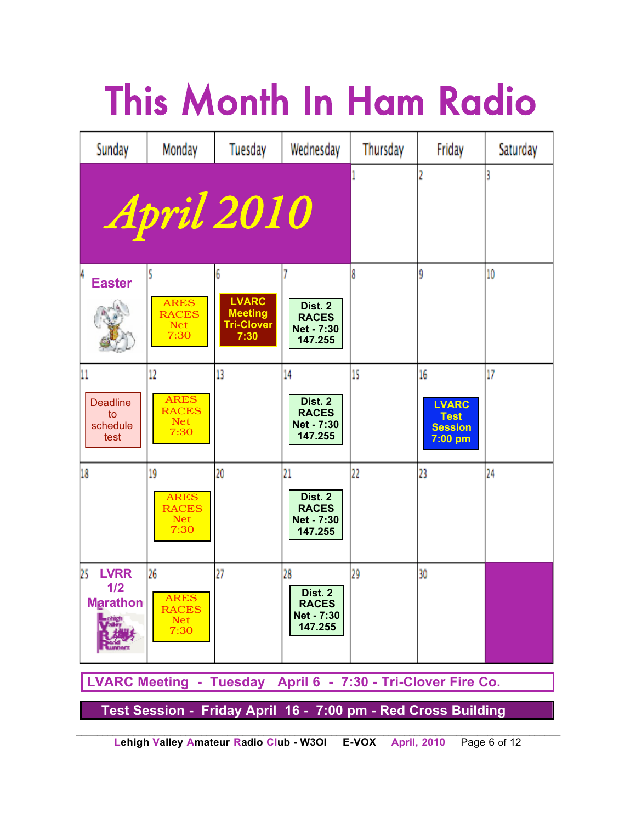# This Month In Ham Radio

| Sunday                                                        | Monday                                                  | Tuesday                                                          | Wednesday                                                     | Thursday | Friday                                                           | Saturday |  |
|---------------------------------------------------------------|---------------------------------------------------------|------------------------------------------------------------------|---------------------------------------------------------------|----------|------------------------------------------------------------------|----------|--|
|                                                               |                                                         | April 2010                                                       |                                                               |          | 2                                                                |          |  |
| <b>Easter</b>                                                 | <b>ARES</b><br><b>RACES</b><br><b>Net</b><br>7:30       | 6<br><b>LVARC</b><br><b>Meeting</b><br><b>Tri-Clover</b><br>7:30 | Dist. 2<br><b>RACES</b><br><b>Net - 7:30</b><br>147.255       | 8        | q                                                                | 10       |  |
| 11<br><b>Deadline</b><br>to<br>schedule<br>test               | 12<br><b>ARES</b><br><b>RACES</b><br><b>Net</b><br>7:30 | 13                                                               | 14<br>Dist. 2<br><b>RACES</b><br><b>Net - 7:30</b><br>147.255 | 15       | 16<br><b>LVARC</b><br><b>Test</b><br><b>Session</b><br>$7:00$ pm | 17       |  |
| 18                                                            | 19<br><b>ARES</b><br><b>RACES</b><br><b>Net</b><br>7:30 | 20                                                               | 21<br>Dist. 2<br><b>RACES</b><br>Net - 7:30<br>147.255        | 22       | 23                                                               | 24       |  |
| 25<br><b>LVRR</b><br>1/2<br><b>Marathon</b>                   | 26<br><b>ARES</b><br><b>RACES</b><br><b>Net</b><br>7:30 | 27                                                               | 28<br>Dist. 2<br><b>RACES</b><br>Net - 7:30<br>147.255        | 29       | 30                                                               |          |  |
| LVARC Meeting - Tuesday April 6 - 7:30 - Tri-Clover Fire Co.  |                                                         |                                                                  |                                                               |          |                                                                  |          |  |
| Test Session - Friday April 16 - 7:00 pm - Red Cross Building |                                                         |                                                                  |                                                               |          |                                                                  |          |  |

*\_\_\_\_\_\_\_\_\_\_\_\_\_\_\_\_\_\_\_\_\_\_\_\_\_\_\_\_\_\_\_\_\_\_\_\_\_\_\_\_\_\_\_\_\_\_\_\_\_\_\_\_\_\_\_\_\_\_\_\_\_\_\_\_\_\_\_\_\_\_\_\_\_\_\_\_\_\_\_\_\_\_\_\_\_\_\_\_\_\_\_\_\_*  **Lehigh Valley Amateur Radio Club - W3OI E-VOX April, 2010** Page 6 of 12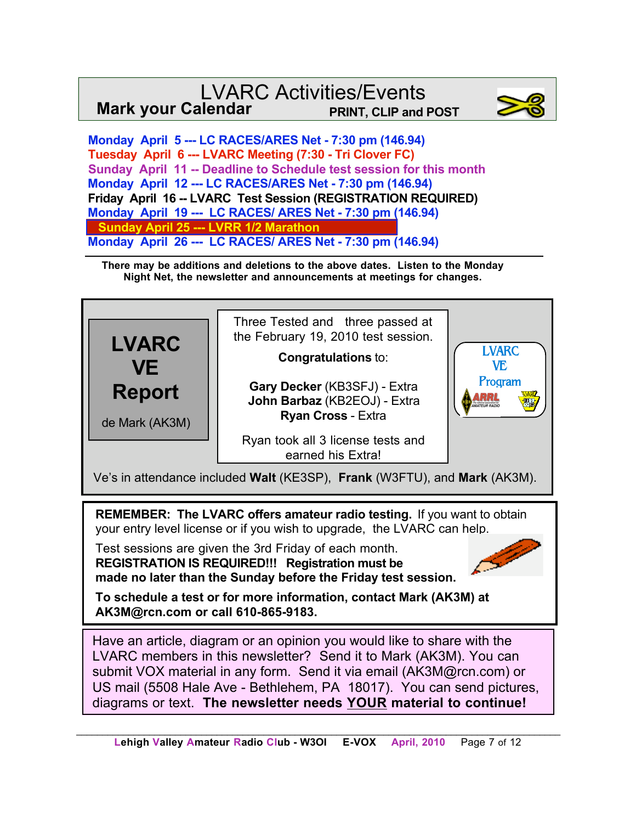#### LVARC Activities/Events **Mark your Calendar PRINT, CLIP and POST**



 **Monday April 5 --- LC RACES/ARES Net - 7:30 pm (146.94) Tuesday April 6 --- LVARC Meeting (7:30 - Tri Clover FC) Sunday April 11 -- Deadline to Schedule test session for this month Monday April 12 --- LC RACES/ARES Net - 7:30 pm (146.94) Friday April 16 -- LVARC Test Session (REGISTRATION REQUIRED) Monday April 19 --- LC RACES/ ARES Net - 7:30 pm (146.94) Sunday April 25 --- LVRR 1/2 Marathon Monday April 26 --- LC RACES/ ARES Net - 7:30 pm (146.94)**

**There may be additions and deletions to the above dates. Listen to the Monday Night Net, the newsletter and announcements at meetings for changes.**



**REMEMBER: The LVARC offers amateur radio testing.** If you want to obtain your entry level license or if you wish to upgrade, the LVARC can help.

Test sessions are given the 3rd Friday of each month. **REGISTRATION IS REQUIRED!!! Registration must be made no later than the Sunday before the Friday test session.**

**To schedule a test or for more information, contact Mark (AK3M) at AK3M@rcn.com or call 610-865-9183.**

Have an article, diagram or an opinion you would like to share with the LVARC members in this newsletter? Send it to Mark (AK3M). You can submit VOX material in any form. Send it via email (AK3M@rcn.com) or US mail (5508 Hale Ave - Bethlehem, PA 18017). You can send pictures, diagrams or text. **The newsletter needs YOUR material to continue!**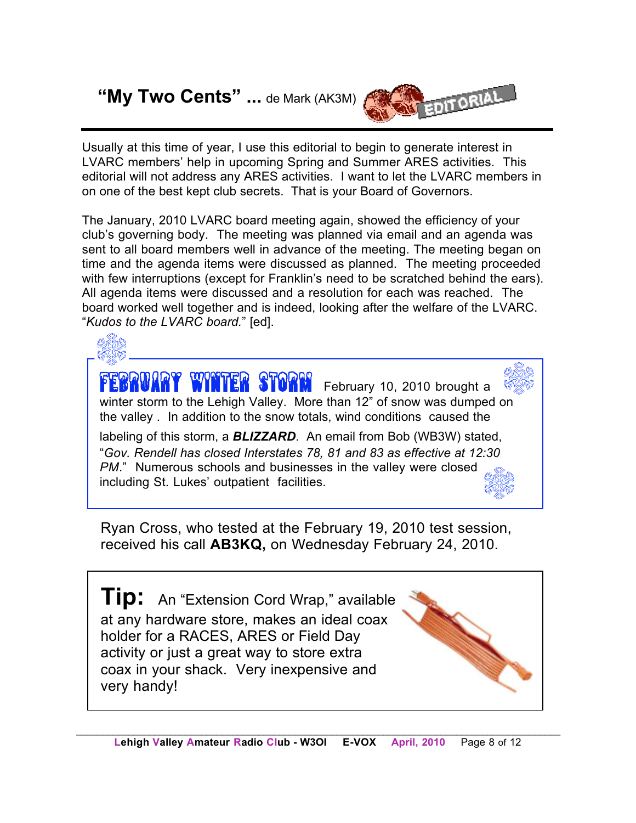## **"My Two Cents" ...** de Mark (AK3M)



Usually at this time of year, I use this editorial to begin to generate interest in LVARC members' help in upcoming Spring and Summer ARES activities. This editorial will not address any ARES activities. I want to let the LVARC members in on one of the best kept club secrets. That is your Board of Governors.

The January, 2010 LVARC board meeting again, showed the efficiency of your club's governing body. The meeting was planned via email and an agenda was sent to all board members well in advance of the meeting. The meeting began on time and the agenda items were discussed as planned. The meeting proceeded with few interruptions (except for Franklin's need to be scratched behind the ears). All agenda items were discussed and a resolution for each was reached. The board worked well together and is indeed, looking after the welfare of the LVARC. "*Kudos to the LVARC board.*" [ed].



Ryan Cross, who tested at the February 19, 2010 test session, received his call **AB3KQ,** on Wednesday February 24, 2010.

**Tip:** An "Extension Cord Wrap," available at any hardware store, makes an ideal coax holder for a RACES, ARES or Field Day activity or just a great way to store extra coax in your shack. Very inexpensive and very handy!

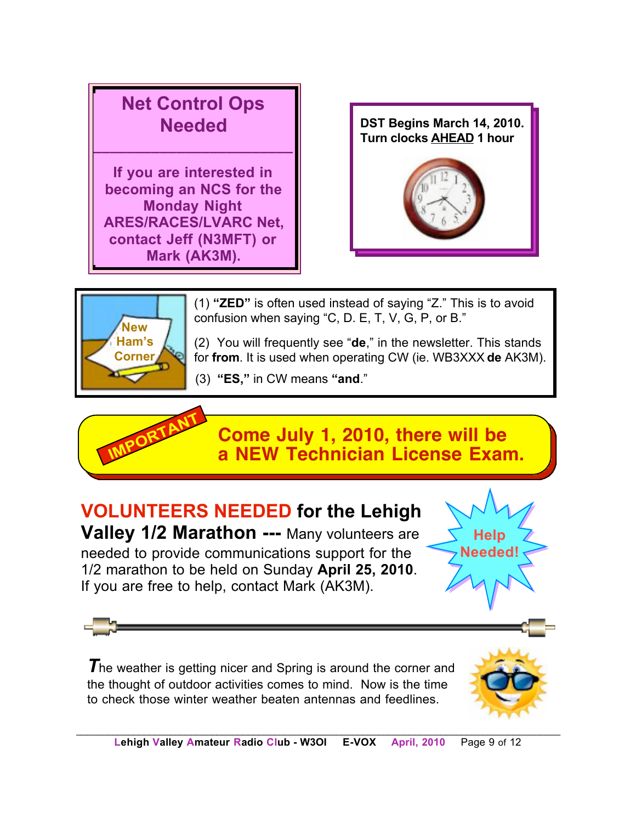## **Net Control Ops Needed**

**\_\_\_\_\_\_\_\_\_\_\_\_\_\_\_\_\_\_\_\_\_\_\_\_**

**If you are interested in becoming an NCS for the Monday Night ARES/RACES/LVARC Net, contact Jeff (N3MFT) or Mark (AK3M).**





**IMPORTANT**

(1) **"ZED"** is often used instead of saying "Z." This is to avoid confusion when saying "C, D. E, T, V, G, P, or B."

(2) You will frequently see "**de**," in the newsletter. This stands for **from**. It is used when operating CW (ie. WB3XXX **de** AK3M).

(3) **"ES,"** in CW means **"and**."

## **Come July 1, 2010, there will be a NEW Technician License Exam.**

## **VOLUNTEERS NEEDED for the Lehigh**

**Valley 1/2 Marathon ---** Many volunteers are needed to provide communications support for the 1/2 marathon to be held on Sunday **April 25, 2010**. If you are free to help, contact Mark (AK3M).

*T* he weather is getting nicer and Spring is around the corner and the thought of outdoor activities comes to mind. Now is the time to check those winter weather beaten antennas and feedlines.



**Help Needed!**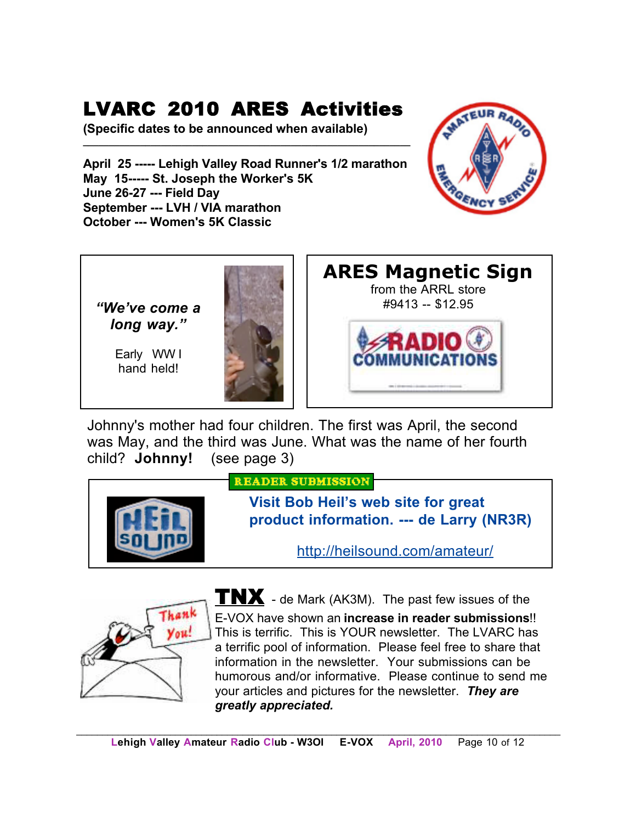## LVARC 2010 ARES Activities

**(Specific dates to be announced when available)**

**April 25 ----- Lehigh Valley Road Runner's 1/2 marathon May 15----- St. Joseph the Worker's 5K June 26-27 --- Field Day September --- LVH / VIA marathon October --- Women's 5K Classic**

**\_\_\_\_\_\_\_\_\_\_\_\_\_\_\_\_\_\_\_\_\_\_\_\_\_\_\_\_\_\_\_\_\_\_\_\_\_\_\_\_\_\_\_\_\_\_\_\_\_\_\_\_\_\_\_\_\_\_\_\_\_\_\_**





Johnny's mother had four children. The first was April, the second was May, and the third was June. What was the name of her fourth child? **Johnny!** (see page 3)



**READER SUBMISSION** 

**Visit Bob Heil's web site for great product information. --- de Larry (NR3R)**

http://heilsound.com/amateur/



 $T$ N $X$  - de Mark (AK3M). The past few issues of the E-VOX have shown an **increase in reader submissions**!! This is terrific. This is YOUR newsletter. The LVARC has a terrific pool of information. Please feel free to share that information in the newsletter. Your submissions can be humorous and/or informative. Please continue to send me your articles and pictures for the newsletter. *They are greatly appreciated.*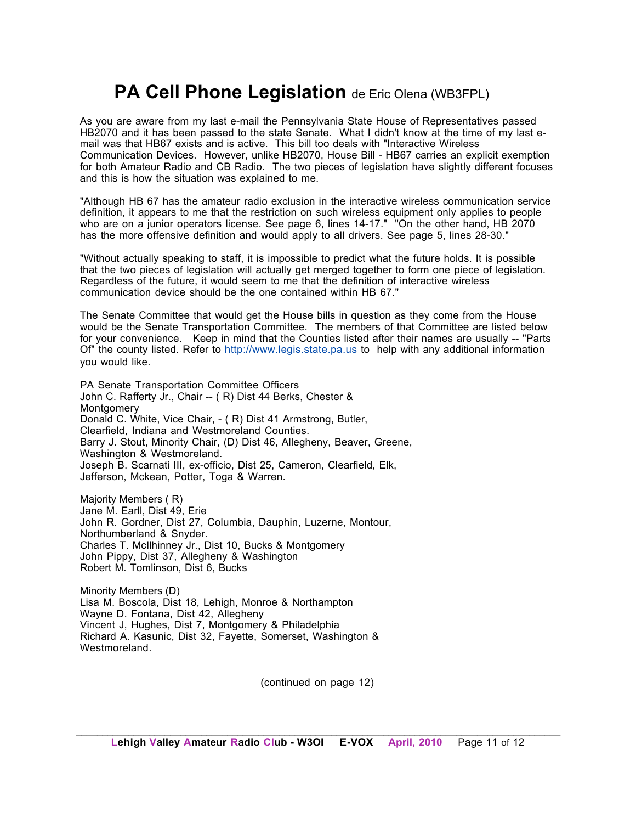## **PA Cell Phone Legislation** de Eric Olena (WB3FPL)

As you are aware from my last e-mail the Pennsylvania State House of Representatives passed HB2070 and it has been passed to the state Senate. What I didn't know at the time of my last email was that HB67 exists and is active. This bill too deals with "Interactive Wireless Communication Devices. However, unlike HB2070, House Bill - HB67 carries an explicit exemption for both Amateur Radio and CB Radio. The two pieces of legislation have slightly different focuses and this is how the situation was explained to me.

"Although HB 67 has the amateur radio exclusion in the interactive wireless communication service definition, it appears to me that the restriction on such wireless equipment only applies to people who are on a junior operators license. See page 6, lines 14-17." "On the other hand, HB 2070 has the more offensive definition and would apply to all drivers. See page 5, lines 28-30."

"Without actually speaking to staff, it is impossible to predict what the future holds. It is possible that the two pieces of legislation will actually get merged together to form one piece of legislation. Regardless of the future, it would seem to me that the definition of interactive wireless communication device should be the one contained within HB 67."

The Senate Committee that would get the House bills in question as they come from the House would be the Senate Transportation Committee. The members of that Committee are listed below for your convenience. Keep in mind that the Counties listed after their names are usually -- "Parts Of" the county listed. Refer to http://www.legis.state.pa.us to help with any additional information you would like.

PA Senate Transportation Committee Officers John C. Rafferty Jr., Chair -- ( R) Dist 44 Berks, Chester & **Montgomery** Donald C. White, Vice Chair, - ( R) Dist 41 Armstrong, Butler, Clearfield, Indiana and Westmoreland Counties. Barry J. Stout, Minority Chair, (D) Dist 46, Allegheny, Beaver, Greene, Washington & Westmoreland. Joseph B. Scarnati III, ex-officio, Dist 25, Cameron, Clearfield, Elk, Jefferson, Mckean, Potter, Toga & Warren.

Majority Members ( R) Jane M. Earll, Dist 49, Erie John R. Gordner, Dist 27, Columbia, Dauphin, Luzerne, Montour, Northumberland & Snyder. Charles T. McIlhinney Jr., Dist 10, Bucks & Montgomery John Pippy, Dist 37, Allegheny & Washington Robert M. Tomlinson, Dist 6, Bucks

Minority Members (D) Lisa M. Boscola, Dist 18, Lehigh, Monroe & Northampton Wayne D. Fontana, Dist 42, Allegheny Vincent J, Hughes, Dist 7, Montgomery & Philadelphia Richard A. Kasunic, Dist 32, Fayette, Somerset, Washington & Westmoreland.

(continued on page 12)